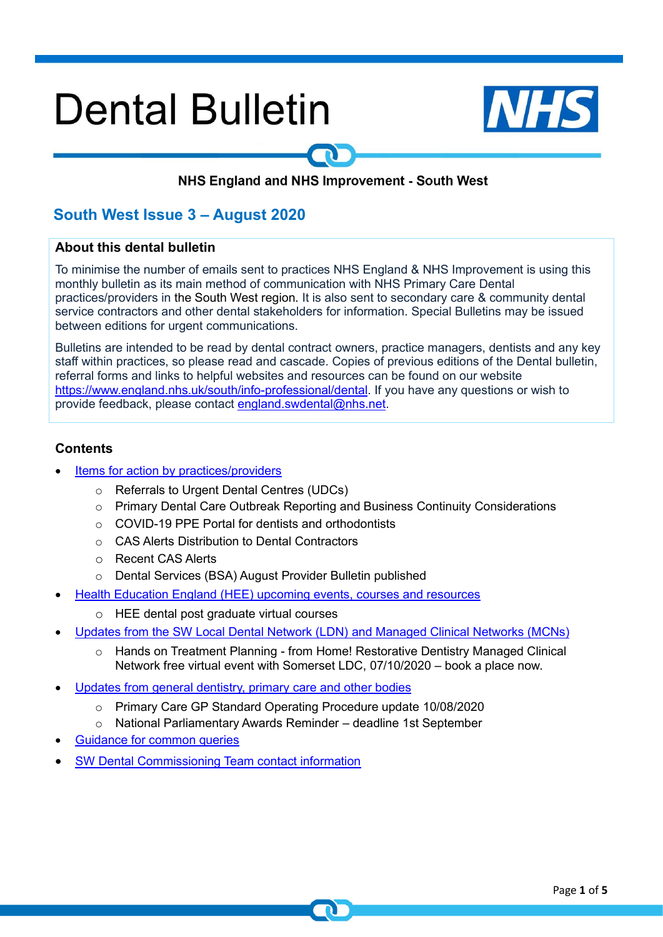# **Dental Bulletin**



# NHS England and NHS Improvement - South West

# **South West Issue 3 – August 2020**

#### **About this dental bulletin**

To minimise the number of emails sent to practices NHS England & NHS Improvement is using this monthly bulletin as its main method of communication with NHS Primary Care Dental practices/providers in the South West region. It is also sent to secondary care & community dental service contractors and other dental stakeholders for information. Special Bulletins may be issued between editions for urgent communications.

Bulletins are intended to be read by dental contract owners, practice managers, dentists and any key staff within practices, so please read and cascade. Copies of previous editions of the Dental bulletin, referral forms and links to helpful websites and resources can be found on our website [https://www.england.nhs.uk/south/info-professional/dental.](https://www.england.nhs.uk/south/info-professional/dental) If you have any questions or wish to provide feedback, please contact [england.swdental@nhs.net.](mailto:england.swdental@nhs.net)

#### <span id="page-0-0"></span>**Contents**

- Items for [action by practices/providers](#page-1-0)
	- o Referrals to Urgent Dental Centres (UDCs)
	- $\circ$  Primary Dental Care Outbreak Reporting and Business Continuity Considerations
	- o COVID-19 PPE Portal for dentists and orthodontists
	- o CAS Alerts Distribution to Dental Contractors
	- o Recent CAS Alerts
	- o Dental Services (BSA) August Provider Bulletin published
- Health Education England (HEE) upcoming events, courses and resources
	- o HEE dental post graduate virtual courses
- [Updates from the SW Local Dental Network \(LDN\) and Managed Clinical Networks \(MCNs\)](#page-3-0)
	- o Hands on Treatment Planning from Home! Restorative Dentistry Managed Clinical Network free virtual event with Somerset LDC, 07/10/2020 – book a place now.
- Updates from general dentistry, primary care and other bodies
	- o Primary Care GP Standard Operating Procedure update 10/08/2020
	- o National Parliamentary Awards Reminder deadline 1st September
- [Guidance for common queries](#page-3-1)
- SW Dental Commissioning Team contact information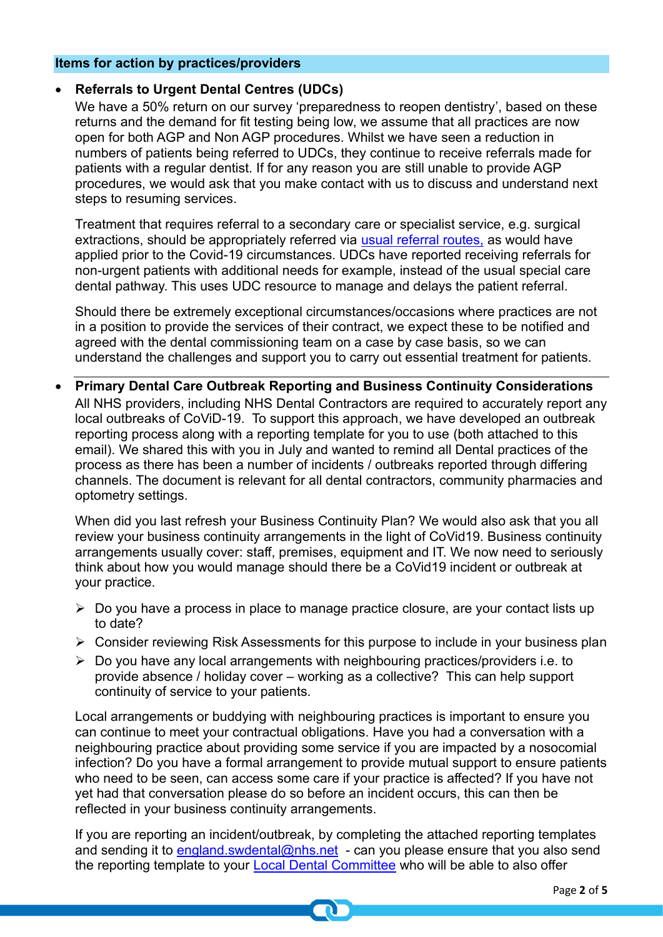#### <span id="page-1-0"></span>**Items for action by practices/providers**

# • **Referrals to Urgent Dental Centres (UDCs)**

We have a 50% return on our survey 'preparedness to reopen dentistry', based on these returns and the demand for fit testing being low, we assume that all practices are now open for both AGP and Non AGP procedures. Whilst we have seen a reduction in numbers of patients being referred to UDCs, they continue to receive referrals made for patients with a regular dentist. If for any reason you are still unable to provide AGP procedures, we would ask that you make contact with us to discuss and understand next steps to resuming services.

Treatment that requires referral to a secondary care or specialist service, e.g. surgical extractions, should be appropriately referred via [usual referral routes,](https://www.england.nhs.uk/south/info-professional/dental/dcis/forms/) as would have applied prior to the Covid-19 circumstances. UDCs have reported receiving referrals for non-urgent patients with additional needs for example, instead of the usual special care dental pathway. This uses UDC resource to manage and delays the patient referral.

Should there be extremely exceptional circumstances/occasions where practices are not in a position to provide the services of their contract, we expect these to be notified and agreed with the dental commissioning team on a case by case basis, so we can understand the challenges and support you to carry out essential treatment for patients.

• **Primary Dental Care Outbreak Reporting and Business Continuity Considerations** All NHS providers, including NHS Dental Contractors are required to accurately report any local outbreaks of CoViD-19. To support this approach, we have developed an outbreak reporting process along with a reporting template for you to use (both attached to this email). We shared this with you in July and wanted to remind all Dental practices of the process as there has been a number of incidents / outbreaks reported through differing channels. The document is relevant for all dental contractors, community pharmacies and optometry settings.

When did you last refresh your Business Continuity Plan? We would also ask that you all review your business continuity arrangements in the light of CoVid19. Business continuity arrangements usually cover: staff, premises, equipment and IT. We now need to seriously think about how you would manage should there be a CoVid19 incident or outbreak at your practice.

- ➢ Do you have a process in place to manage practice closure, are your contact lists up to date?
- ➢ Consider reviewing Risk Assessments for this purpose to include in your business plan
- $\triangleright$  Do you have any local arrangements with neighbouring practices/providers i.e. to provide absence / holiday cover – working as a collective? This can help support continuity of service to your patients.

Local arrangements or buddying with neighbouring practices is important to ensure you can continue to meet your contractual obligations. Have you had a conversation with a neighbouring practice about providing some service if you are impacted by a nosocomial infection? Do you have a formal arrangement to provide mutual support to ensure patients who need to be seen, can access some care if your practice is affected? If you have not yet had that conversation please do so before an incident occurs, this can then be reflected in your business continuity arrangements.

If you are reporting an incident/outbreak, by completing the attached reporting templates and sending it to [england.swdental@nhs.net](mailto:england.swdental@nhs.net) - can you please ensure that you also send the reporting template to your **Local Dental Committee** who will be able to also offer

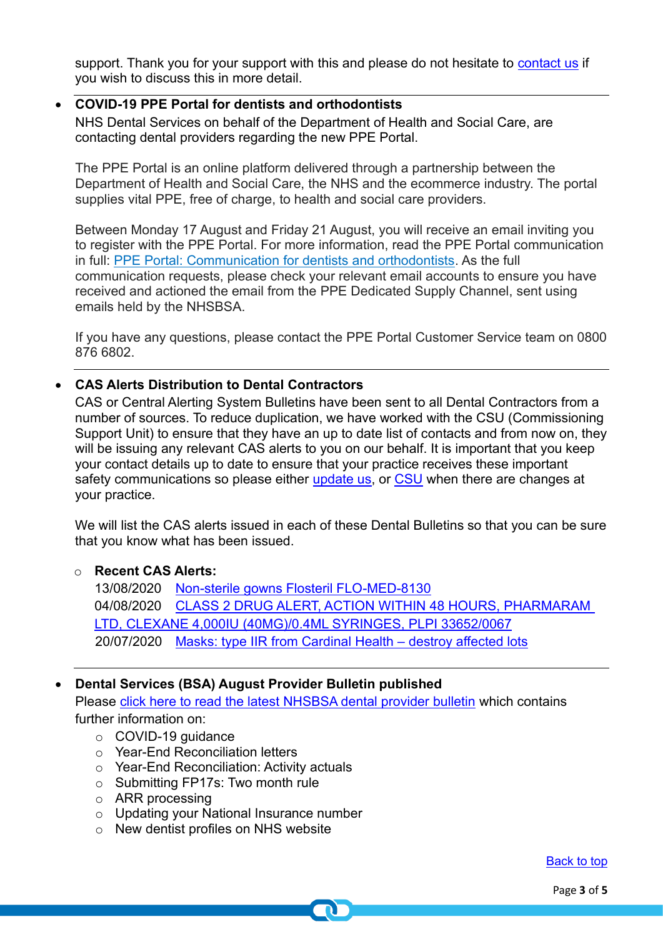support. Thank you for your support with this and please do not hesitate to [contact us](mailto:england.swdental@nhs.net) if you wish to discuss this in more detail.

# • **COVID-19 PPE Portal for dentists and orthodontists**

NHS Dental Services on behalf of the Department of Health and Social Care, are contacting dental providers regarding the new PPE Portal.

The PPE Portal is an online platform delivered through a partnership between the Department of Health and Social Care, the NHS and the ecommerce industry. The portal supplies vital PPE, free of charge, to health and social care providers.

Between Monday 17 August and Friday 21 August, you will receive an email inviting you to register with the PPE Portal. For more information, read the PPE Portal communication in full: [PPE Portal: Communication for dentists and orthodontists.](https://nhs.us12.list-manage.com/track/click?u=73c3d4c9798efad92c827e730&id=05e60828f2&e=48d829b3d2) As the full communication requests, please check your relevant email accounts to ensure you have received and actioned the email from the PPE Dedicated Supply Channel, sent using emails held by the NHSBSA.

If you have any questions, please contact the PPE Portal Customer Service team on 0800 876 6802.

# • **CAS Alerts Distribution to Dental Contractors**

CAS or Central Alerting System Bulletins have been sent to all Dental Contractors from a number of sources. To reduce duplication, we have worked with the CSU (Commissioning Support Unit) to ensure that they have an up to date list of contacts and from now on, they will be issuing any relevant CAS alerts to you on our behalf. It is important that you keep your contact details up to date to ensure that your practice receives these important safety communications so please either [update us,](mailto:england.swdental@nhs.net) or [CSU](mailto:safetyalerts@mhra.gov.uk) when there are changes at your practice.

We will list the CAS alerts issued in each of these Dental Bulletins so that you can be sure that you know what has been issued.

## o **Recent CAS Alerts:**

13/08/2020 [Non-sterile gowns Flosteril FLO-MED-8130](https://www.cas.mhra.gov.uk/ViewAndAcknowledgment/viewAlert.aspx?AlertID=103084) 04/08/2020 [CLASS 2 DRUG ALERT, ACTION WITHIN 48 HOURS, PHARMARAM](https://www.cas.mhra.gov.uk/ViewAndAcknowledgment/viewAlert.aspx?AlertID=103079)  [LTD, CLEXANE 4,000IU \(40MG\)/0.4ML SYRINGES, PLPI 33652/0067](https://www.cas.mhra.gov.uk/ViewAndAcknowledgment/viewAlert.aspx?AlertID=103079) 20/07/2020 [Masks: type IIR from Cardinal Health –](https://www.cas.mhra.gov.uk/ViewandAcknowledgment/ViewAlert.aspx?AlertID=103070) destroy affected lots

# • **Dental Services (BSA) August Provider Bulletin published**

Please [click here to read the latest NHSBSA dental provider bulletin](https://www.nhsbsa.nhs.uk/sites/default/files/2020-08/Dentist%20Bulletin%20-%20England%20-%20August%202020.pdf) which contains further information on:

- o COVID-19 guidance
- o Year-End Reconciliation letters
- o Year-End Reconciliation: Activity actuals
- o Submitting FP17s: Two month rule
- o ARR processing
- o Updating your National Insurance number
- o New dentist profiles on NHS website

[Back to top](#page-0-0)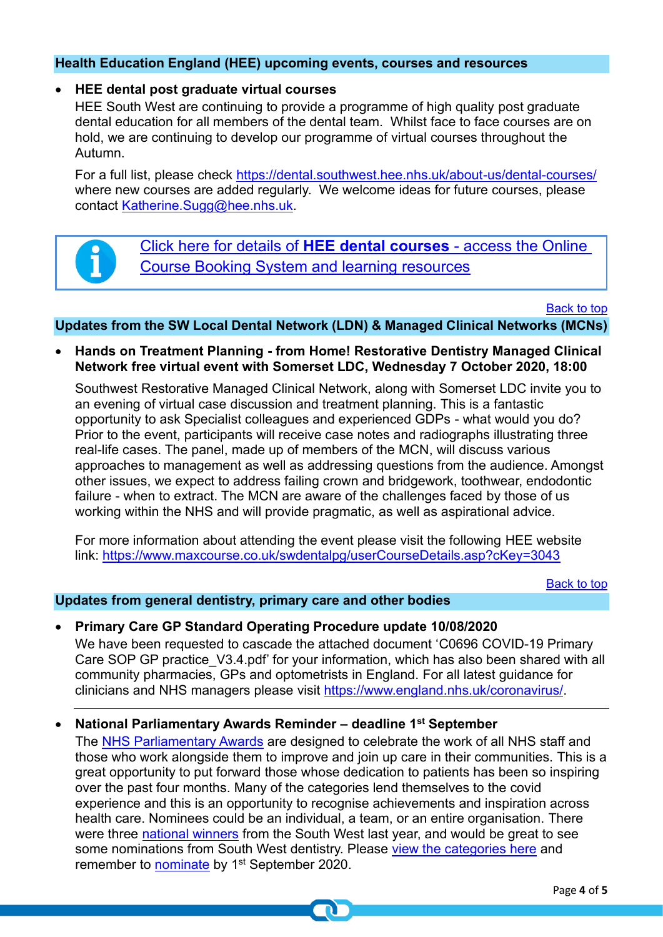# **Health Education England (HEE) upcoming events, courses and resources**

#### • **HEE dental post graduate virtual courses**

HEE South West are continuing to provide a programme of high quality post graduate dental education for all members of the dental team. Whilst face to face courses are on hold, we are continuing to develop our programme of virtual courses throughout the Autumn.

For a full list, please check<https://dental.southwest.hee.nhs.uk/about-us/dental-courses/> where new courses are added regularly. We welcome ideas for future courses, please contact [Katherine.Sugg@hee.nhs.uk.](mailto:Katherine.Sugg@hee.nhs.uk)

[Click here for details of](http://www.dental.southwest.hee.nhs.uk/about-us/dental-courses/) **HEE dental courses** - access the Online [Course Booking System and learning resources](http://www.dental.southwest.hee.nhs.uk/about-us/dental-courses/)

[Back to top](#page-0-0)

#### <span id="page-3-0"></span>**Updates from the SW Local Dental Network (LDN) & Managed Clinical Networks (MCNs)**

• **Hands on Treatment Planning - from Home! Restorative Dentistry Managed Clinical Network free virtual event with Somerset LDC, Wednesday 7 October 2020, 18:00**

Southwest Restorative Managed Clinical Network, along with Somerset LDC invite you to an evening of virtual case discussion and treatment planning. This is a fantastic opportunity to ask Specialist colleagues and experienced GDPs - what would you do? Prior to the event, participants will receive case notes and radiographs illustrating three real-life cases. The panel, made up of members of the MCN, will discuss various approaches to management as well as addressing questions from the audience. Amongst other issues, we expect to address failing crown and bridgework, toothwear, endodontic failure - when to extract. The MCN are aware of the challenges faced by those of us working within the NHS and will provide pragmatic, as well as aspirational advice.

For more information about attending the event please visit the following HEE website link:<https://www.maxcourse.co.uk/swdentalpg/userCourseDetails.asp?cKey=3043>

[Back to top](#page-0-0)

#### **Updates from general dentistry, primary care and other bodies**

#### <span id="page-3-1"></span>• **Primary Care GP Standard Operating Procedure update 10/08/2020**

We have been requested to cascade the attached document 'C0696 COVID-19 Primary Care SOP GP practice V3.4.pdf' for your information, which has also been shared with all community pharmacies, GPs and optometrists in England. For all latest guidance for clinicians and NHS managers please visit [https://www.england.nhs.uk/coronavirus/.](https://www.england.nhs.uk/coronavirus/L)

#### • **National Parliamentary Awards Reminder – deadline 1st September**

The [NHS Parliamentary Awards](http://www.nhsparliamentaryawards.co.uk/) are designed to celebrate the work of all NHS staff and those who work alongside them to improve and join up care in their communities. This is a great opportunity to put forward those whose dedication to patients has been so inspiring over the past four months. Many of the categories lend themselves to the covid experience and this is an opportunity to recognise achievements and inspiration across health care. Nominees could be an individual, a team, or an entire organisation. There were three [national winners](https://www.england.nhs.uk/nhs-parliamentary-awards/about/winners/) from the South West last year, and would be great to see some nominations from South West dentistry. Please [view the categories here](http://www.nhsparliamentaryawards.co.uk/categories) and remember to [nominate](http://www.nhsparliamentaryawards.co.uk/how-nominate-health-and-care-organisations-and-members-public) by 1<sup>st</sup> September 2020.